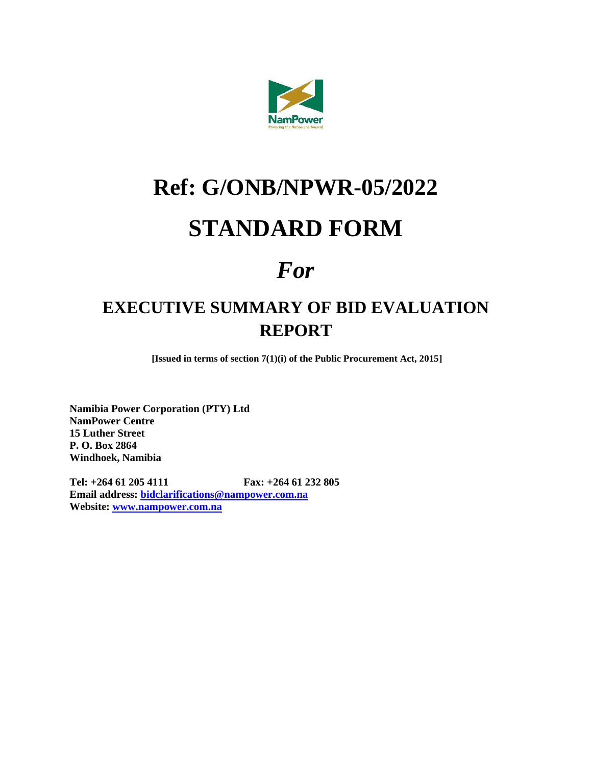

# **Ref: G/ONB/NPWR-05/2022**

## **STANDARD FORM**

## *For*

### **EXECUTIVE SUMMARY OF BID EVALUATION REPORT**

**[Issued in terms of section 7(1)(i) of the Public Procurement Act, 2015]**

**Namibia Power Corporation (PTY) Ltd NamPower Centre 15 Luther Street P. O. Box 2864 Windhoek, Namibia**

**Tel: +264 61 205 4111 Fax: +264 61 232 805 Email address: [bidclarifications@nampower.com.na](mailto:bidclarifications@nampower.com.na) Website: [www.nampower.com.na](http://www.nampower.com.na/)**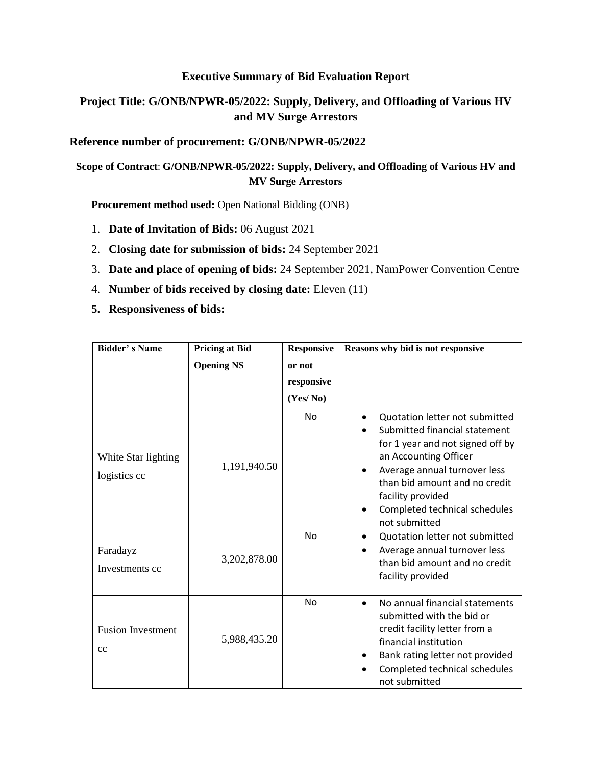#### **Executive Summary of Bid Evaluation Report**

#### **Project Title: G/ONB/NPWR-05/2022: Supply, Delivery, and Offloading of Various HV and MV Surge Arrestors**

#### **Reference number of procurement: G/ONB/NPWR-05/2022**

#### **Scope of Contract**: **G/ONB/NPWR-05/2022: Supply, Delivery, and Offloading of Various HV and MV Surge Arrestors**

**Procurement method used:** Open National Bidding (ONB)

- 1. **Date of Invitation of Bids:** 06 August 2021
- 2. **Closing date for submission of bids:** 24 September 2021
- 3. **Date and place of opening of bids:** 24 September 2021, NamPower Convention Centre
- 4. **Number of bids received by closing date:** Eleven (11)
- **5. Responsiveness of bids:**

| <b>Bidder's Name</b>                | <b>Pricing at Bid</b><br><b>Opening N\$</b> | <b>Responsive</b><br>or not | Reasons why bid is not responsive                                                                                                                                                                                                                                                 |
|-------------------------------------|---------------------------------------------|-----------------------------|-----------------------------------------------------------------------------------------------------------------------------------------------------------------------------------------------------------------------------------------------------------------------------------|
|                                     |                                             | responsive<br>(Yes/No)      |                                                                                                                                                                                                                                                                                   |
| White Star lighting<br>logistics cc | 1,191,940.50                                | <b>No</b>                   | Quotation letter not submitted<br>Submitted financial statement<br>for 1 year and not signed off by<br>an Accounting Officer<br>Average annual turnover less<br>$\bullet$<br>than bid amount and no credit<br>facility provided<br>Completed technical schedules<br>not submitted |
| Faradayz<br>Investments cc          | 3,202,878.00                                | No                          | Quotation letter not submitted<br>$\bullet$<br>Average annual turnover less<br>than bid amount and no credit<br>facility provided                                                                                                                                                 |
| <b>Fusion Investment</b><br>cc      | 5,988,435.20                                | <b>No</b>                   | No annual financial statements<br>$\bullet$<br>submitted with the bid or<br>credit facility letter from a<br>financial institution<br>Bank rating letter not provided<br>Completed technical schedules<br>not submitted                                                           |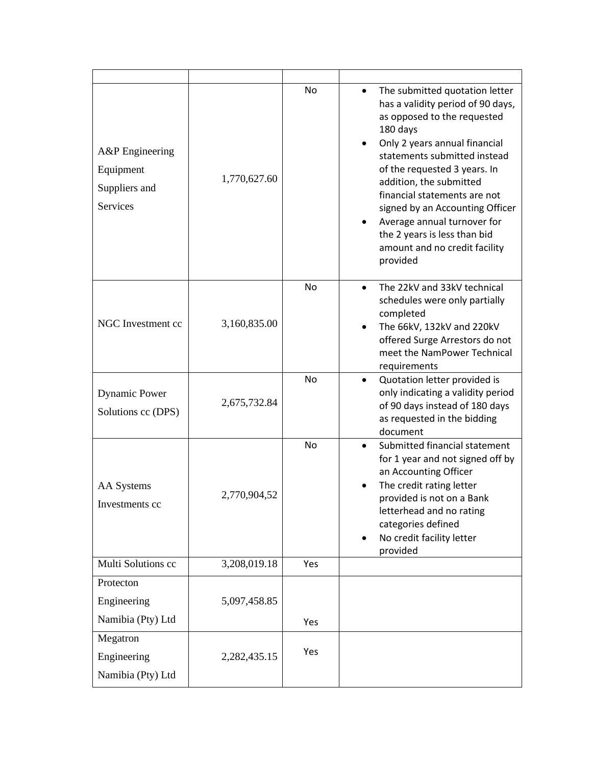| A&P Engineering<br>Equipment<br>Suppliers and<br>Services | 1,770,627.60 | No  | The submitted quotation letter<br>has a validity period of 90 days,<br>as opposed to the requested<br>180 days<br>Only 2 years annual financial<br>statements submitted instead<br>of the requested 3 years. In<br>addition, the submitted<br>financial statements are not<br>signed by an Accounting Officer<br>Average annual turnover for<br>the 2 years is less than bid<br>amount and no credit facility<br>provided |
|-----------------------------------------------------------|--------------|-----|---------------------------------------------------------------------------------------------------------------------------------------------------------------------------------------------------------------------------------------------------------------------------------------------------------------------------------------------------------------------------------------------------------------------------|
| NGC Investment cc                                         | 3,160,835.00 | No  | The 22kV and 33kV technical<br>schedules were only partially<br>completed<br>The 66kV, 132kV and 220kV<br>offered Surge Arrestors do not<br>meet the NamPower Technical<br>requirements                                                                                                                                                                                                                                   |
| <b>Dynamic Power</b><br>Solutions cc (DPS)                | 2,675,732.84 | No  | Quotation letter provided is<br>$\bullet$<br>only indicating a validity period<br>of 90 days instead of 180 days<br>as requested in the bidding<br>document                                                                                                                                                                                                                                                               |
| <b>AA</b> Systems<br>Investments cc                       | 2,770,904,52 | No  | Submitted financial statement<br>$\bullet$<br>for 1 year and not signed off by<br>an Accounting Officer<br>The credit rating letter<br>provided is not on a Bank<br>letterhead and no rating<br>categories defined<br>No credit facility letter<br>provided                                                                                                                                                               |
| Multi Solutions cc                                        | 3,208,019.18 | Yes |                                                                                                                                                                                                                                                                                                                                                                                                                           |
| Protecton<br>Engineering<br>Namibia (Pty) Ltd             | 5,097,458.85 | Yes |                                                                                                                                                                                                                                                                                                                                                                                                                           |
| Megatron<br>Engineering<br>Namibia (Pty) Ltd              | 2,282,435.15 | Yes |                                                                                                                                                                                                                                                                                                                                                                                                                           |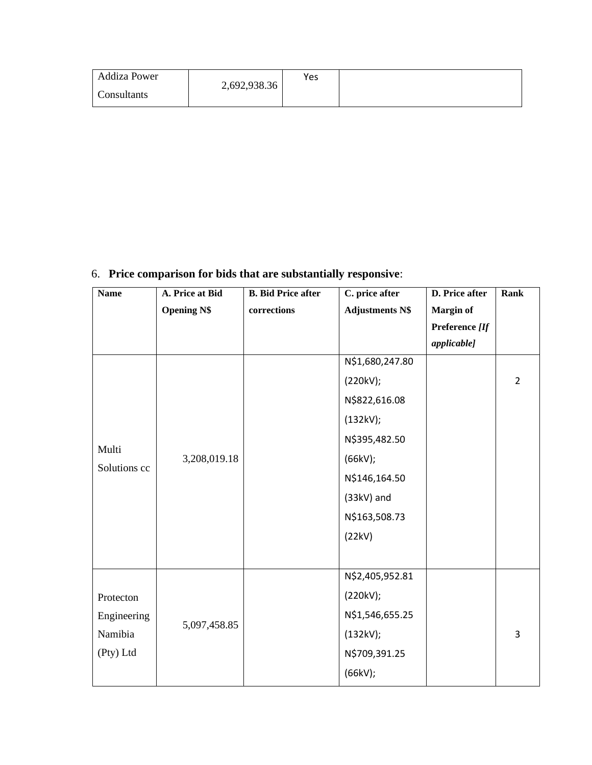| <b>Addiza Power</b> | 2,692,938.36 | Yes |  |
|---------------------|--------------|-----|--|
| Consultants         |              |     |  |

### 6. **Price comparison for bids that are substantially responsive**:

| <b>Name</b>                                                               | A. Price at Bid    | <b>B.</b> Bid Price after | C. price after         | D. Price after   | <b>Rank</b>    |
|---------------------------------------------------------------------------|--------------------|---------------------------|------------------------|------------------|----------------|
|                                                                           | <b>Opening N\$</b> | corrections               | <b>Adjustments N\$</b> | <b>Margin of</b> |                |
|                                                                           |                    |                           |                        | Preference [If   |                |
|                                                                           |                    |                           |                        | applicable]      |                |
|                                                                           |                    |                           | N\$1,680,247.80        |                  |                |
|                                                                           |                    |                           | (220kV);               |                  | $\overline{2}$ |
|                                                                           |                    |                           | N\$822,616.08          |                  |                |
| Multi<br>Solutions cc<br>Protecton<br>Engineering<br>Namibia<br>(Pty) Ltd |                    |                           | (132kV);               |                  |                |
|                                                                           |                    |                           | N\$395,482.50          |                  |                |
|                                                                           | 3,208,019.18       |                           | (66kV);                |                  |                |
|                                                                           |                    |                           | N\$146,164.50          |                  |                |
|                                                                           |                    |                           | (33kV) and             |                  |                |
|                                                                           |                    |                           | N\$163,508.73          |                  |                |
|                                                                           |                    |                           | (22kV)                 |                  |                |
|                                                                           |                    |                           |                        |                  |                |
|                                                                           |                    |                           | N\$2,405,952.81        |                  |                |
|                                                                           |                    |                           | (220kV);               |                  |                |
|                                                                           |                    |                           | N\$1,546,655.25        |                  |                |
|                                                                           | 5,097,458.85       |                           | (132kV);               |                  | 3              |
|                                                                           |                    |                           | N\$709,391.25          |                  |                |
|                                                                           |                    |                           | (66kV);                |                  |                |
|                                                                           |                    |                           |                        |                  |                |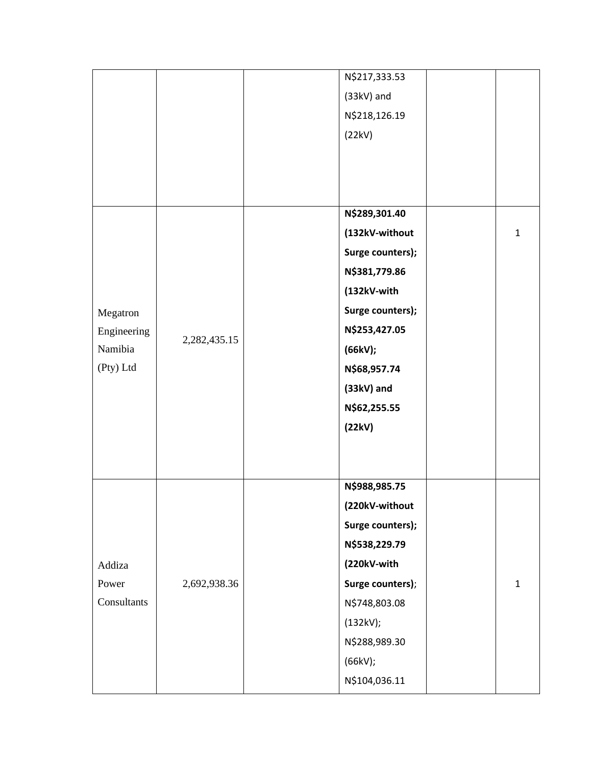|             |              | N\$217,333.53 |                  |              |
|-------------|--------------|---------------|------------------|--------------|
|             |              | (33kV) and    |                  |              |
|             |              | N\$218,126.19 |                  |              |
|             |              | (22kV)        |                  |              |
|             |              |               |                  |              |
|             |              |               |                  |              |
|             |              |               |                  |              |
|             |              | N\$289,301.40 |                  |              |
|             |              |               | (132kV-without   | $\mathbf{1}$ |
|             |              |               | Surge counters); |              |
|             |              | N\$381,779.86 |                  |              |
|             |              | (132kV-with   |                  |              |
| Megatron    |              |               | Surge counters); |              |
| Engineering | 2,282,435.15 | N\$253,427.05 |                  |              |
| Namibia     |              | (66kV);       |                  |              |
| (Pty) Ltd   |              | N\$68,957.74  |                  |              |
|             |              | $(33kV)$ and  |                  |              |
|             |              | N\$62,255.55  |                  |              |
|             | (22kV)       |               |                  |              |
|             |              |               |                  |              |
|             |              |               |                  |              |
|             |              | N\$988,985.75 |                  |              |
|             |              |               | (220kV-without   |              |
|             |              |               | Surge counters); |              |
|             |              | N\$538,229.79 |                  |              |
| Addiza      | (220kV-with  |               |                  |              |
| Power       | 2,692,938.36 |               | Surge counters); | $\mathbf{1}$ |
| Consultants |              | N\$748,803.08 |                  |              |
|             |              | (132kV);      |                  |              |
|             |              | N\$288,989.30 |                  |              |
|             |              | (66kV);       |                  |              |
|             |              | N\$104,036.11 |                  |              |